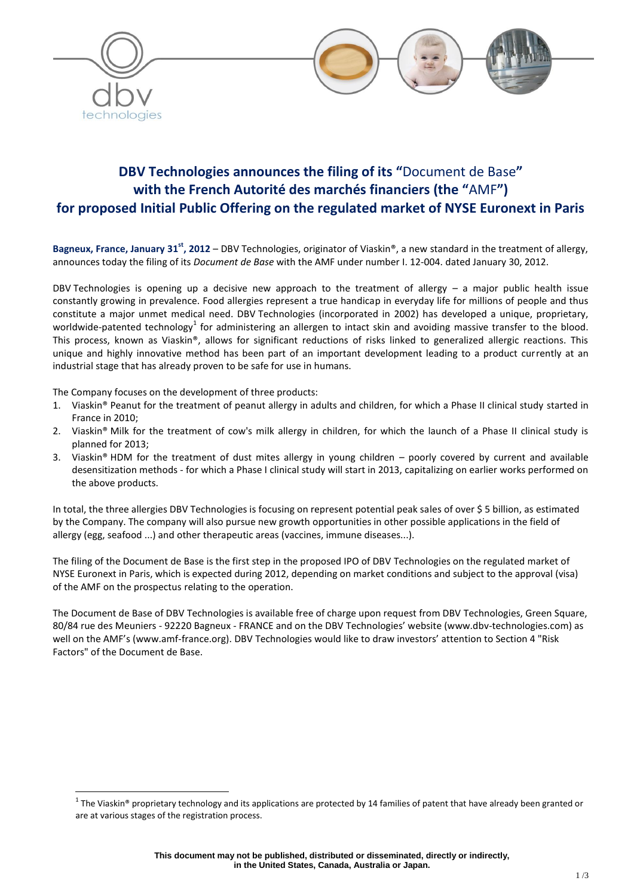

# **DBV Technologies announces the filing of its "**Document de Base**" with the French Autorité des marchés financiers (the "**AMF**") for proposed Initial Public Offering on the regulated market of NYSE Euronext in Paris**

Bagneux, France, January 31<sup>st</sup>, 2012 – DBV Technologies, originator of Viaskin®, a new standard in the treatment of allergy, announces today the filing of its *Document de Base* with the AMF under number I. 12-004. dated January 30, 2012.

DBV Technologies is opening up a decisive new approach to the treatment of allergy – a major public health issue constantly growing in prevalence. Food allergies represent a true handicap in everyday life for millions of people and thus constitute a major unmet medical need. DBV Technologies (incorporated in 2002) has developed a unique, proprietary, worldwide-patented technology<sup>1</sup> for administering an allergen to intact skin and avoiding massive transfer to the blood. This process, known as Viaskin®, allows for significant reductions of risks linked to generalized allergic reactions. This unique and highly innovative method has been part of an important development leading to a product currently at an industrial stage that has already proven to be safe for use in humans.

The Company focuses on the development of three products:

 $\overline{a}$ 

- 1. Viaskin® Peanut for the treatment of peanut allergy in adults and children, for which a Phase II clinical study started in France in 2010;
- 2. Viaskin® Milk for the treatment of cow's milk allergy in children, for which the launch of a Phase II clinical study is planned for 2013;
- 3. Viaskin® HDM for the treatment of dust mites allergy in young children poorly covered by current and available desensitization methods - for which a Phase I clinical study will start in 2013, capitalizing on earlier works performed on the above products.

In total, the three allergies DBV Technologies is focusing on represent potential peak sales of over \$ 5 billion, as estimated by the Company. The company will also pursue new growth opportunities in other possible applications in the field of allergy (egg, seafood ...) and other therapeutic areas (vaccines, immune diseases...).

The filing of the Document de Base is the first step in the proposed IPO of DBV Technologies on the regulated market of NYSE Euronext in Paris, which is expected during 2012, depending on market conditions and subject to the approval (visa) of the AMF on the prospectus relating to the operation.

The Document de Base of DBV Technologies is available free of charge upon request from DBV Technologies, Green Square, 80/84 rue des Meuniers - 92220 Bagneux - FRANCE and on the DBV Technologies' website (www.dbv-technologies.com) as well on the AMF's (www.amf-france.org). DBV Technologies would like to draw investors' attention to Section 4 "Risk Factors" of the Document de Base.

 $^1$  The Viaskin® proprietary technology and its applications are protected by 14 families of patent that have already been granted or are at various stages of the registration process.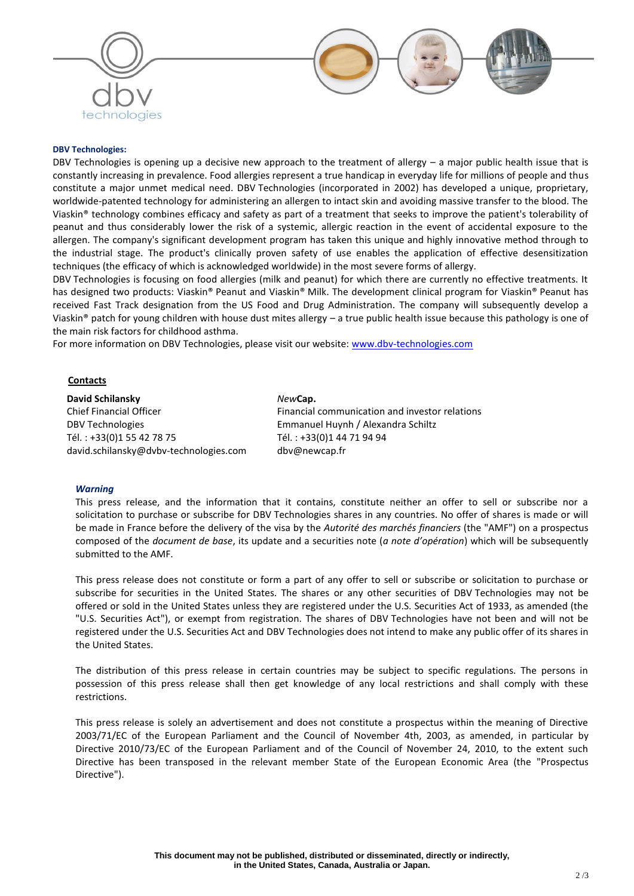

## **DBV Technologies:**

DBV Technologies is opening up a decisive new approach to the treatment of allergy – a major public health issue that is constantly increasing in prevalence. Food allergies represent a true handicap in everyday life for millions of people and thus constitute a major unmet medical need. DBV Technologies (incorporated in 2002) has developed a unique, proprietary, worldwide-patented technology for administering an allergen to intact skin and avoiding massive transfer to the blood. The Viaskin® technology combines efficacy and safety as part of a treatment that seeks to improve the patient's tolerability of peanut and thus considerably lower the risk of a systemic, allergic reaction in the event of accidental exposure to the allergen. The company's significant development program has taken this unique and highly innovative method through to the industrial stage. The product's clinically proven safety of use enables the application of effective desensitization techniques (the efficacy of which is acknowledged worldwide) in the most severe forms of allergy.

DBV Technologies is focusing on food allergies (milk and peanut) for which there are currently no effective treatments. It has designed two products: Viaskin® Peanut and Viaskin® Milk. The development clinical program for Viaskin® Peanut has received Fast Track designation from the US Food and Drug Administration. The company will subsequently develop a Viaskin<sup>®</sup> patch for young children with house dust mites allergy – a true public health issue because this pathology is one of the main risk factors for childhood asthma.

For more information on DBV Technologies, please visit our website: [www.dbv-technologies.com](http://www.dbv-technologies.com/)

### **Contacts**

**David Schilansky** Chief Financial Officer DBV Technologies Tél. : +33(0)1 55 42 78 75 david.schilansky@dvbv-technologies.com

#### *New***Cap.**

Financial communication and investor relations Emmanuel Huynh / Alexandra Schiltz Tél. : +33(0)1 44 71 94 94 dbv@newcap.fr

#### *Warning*

This press release, and the information that it contains, constitute neither an offer to sell or subscribe nor a solicitation to purchase or subscribe for DBV Technologies shares in any countries. No offer of shares is made or will be made in France before the delivery of the visa by the *Autorité des marchés financiers* (the "AMF") on a prospectus composed of the *document de base*, its update and a securities note (*a note d'opération*) which will be subsequently submitted to the AMF.

This press release does not constitute or form a part of any offer to sell or subscribe or solicitation to purchase or subscribe for securities in the United States. The shares or any other securities of DBV Technologies may not be offered or sold in the United States unless they are registered under the U.S. Securities Act of 1933, as amended (the "U.S. Securities Act"), or exempt from registration. The shares of DBV Technologies have not been and will not be registered under the U.S. Securities Act and DBV Technologies does not intend to make any public offer of its shares in the United States.

The distribution of this press release in certain countries may be subject to specific regulations. The persons in possession of this press release shall then get knowledge of any local restrictions and shall comply with these restrictions.

This press release is solely an advertisement and does not constitute a prospectus within the meaning of Directive 2003/71/EC of the European Parliament and the Council of November 4th, 2003, as amended, in particular by Directive 2010/73/EC of the European Parliament and of the Council of November 24, 2010, to the extent such Directive has been transposed in the relevant member State of the European Economic Area (the "Prospectus Directive").